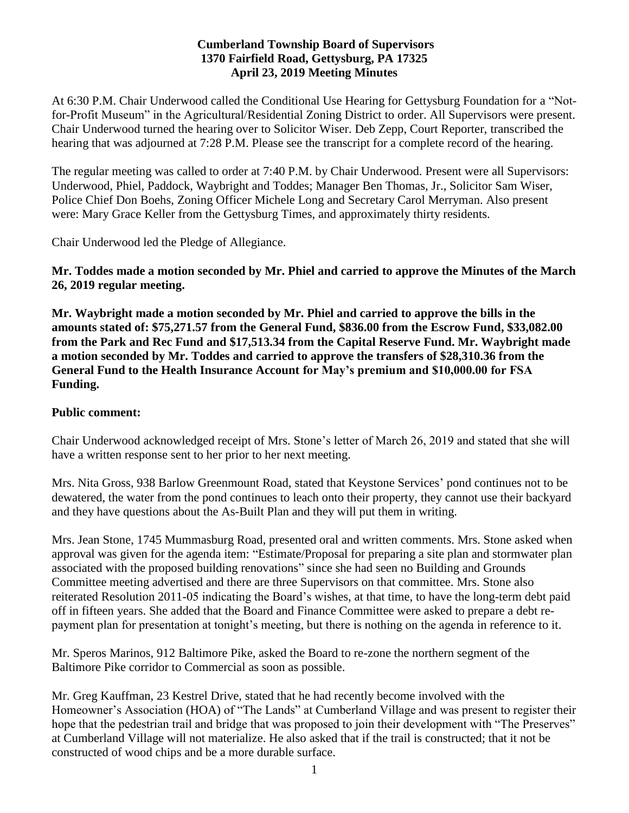## **Cumberland Township Board of Supervisors 1370 Fairfield Road, Gettysburg, PA 17325 April 23, 2019 Meeting Minutes**

At 6:30 P.M. Chair Underwood called the Conditional Use Hearing for Gettysburg Foundation for a "Notfor-Profit Museum" in the Agricultural/Residential Zoning District to order. All Supervisors were present. Chair Underwood turned the hearing over to Solicitor Wiser. Deb Zepp, Court Reporter, transcribed the hearing that was adjourned at 7:28 P.M. Please see the transcript for a complete record of the hearing.

The regular meeting was called to order at 7:40 P.M. by Chair Underwood. Present were all Supervisors: Underwood, Phiel, Paddock, Waybright and Toddes; Manager Ben Thomas, Jr., Solicitor Sam Wiser, Police Chief Don Boehs, Zoning Officer Michele Long and Secretary Carol Merryman. Also present were: Mary Grace Keller from the Gettysburg Times, and approximately thirty residents.

Chair Underwood led the Pledge of Allegiance.

# **Mr. Toddes made a motion seconded by Mr. Phiel and carried to approve the Minutes of the March 26, 2019 regular meeting.**

**Mr. Waybright made a motion seconded by Mr. Phiel and carried to approve the bills in the amounts stated of: \$75,271.57 from the General Fund, \$836.00 from the Escrow Fund, \$33,082.00 from the Park and Rec Fund and \$17,513.34 from the Capital Reserve Fund. Mr. Waybright made a motion seconded by Mr. Toddes and carried to approve the transfers of \$28,310.36 from the General Fund to the Health Insurance Account for May's premium and \$10,000.00 for FSA Funding.** 

## **Public comment:**

Chair Underwood acknowledged receipt of Mrs. Stone's letter of March 26, 2019 and stated that she will have a written response sent to her prior to her next meeting.

Mrs. Nita Gross, 938 Barlow Greenmount Road, stated that Keystone Services' pond continues not to be dewatered, the water from the pond continues to leach onto their property, they cannot use their backyard and they have questions about the As-Built Plan and they will put them in writing.

Mrs. Jean Stone, 1745 Mummasburg Road, presented oral and written comments. Mrs. Stone asked when approval was given for the agenda item: "Estimate/Proposal for preparing a site plan and stormwater plan associated with the proposed building renovations" since she had seen no Building and Grounds Committee meeting advertised and there are three Supervisors on that committee. Mrs. Stone also reiterated Resolution 2011-05 indicating the Board's wishes, at that time, to have the long-term debt paid off in fifteen years. She added that the Board and Finance Committee were asked to prepare a debt repayment plan for presentation at tonight's meeting, but there is nothing on the agenda in reference to it.

Mr. Speros Marinos, 912 Baltimore Pike, asked the Board to re-zone the northern segment of the Baltimore Pike corridor to Commercial as soon as possible.

Mr. Greg Kauffman, 23 Kestrel Drive, stated that he had recently become involved with the Homeowner's Association (HOA) of "The Lands" at Cumberland Village and was present to register their hope that the pedestrian trail and bridge that was proposed to join their development with "The Preserves" at Cumberland Village will not materialize. He also asked that if the trail is constructed; that it not be constructed of wood chips and be a more durable surface.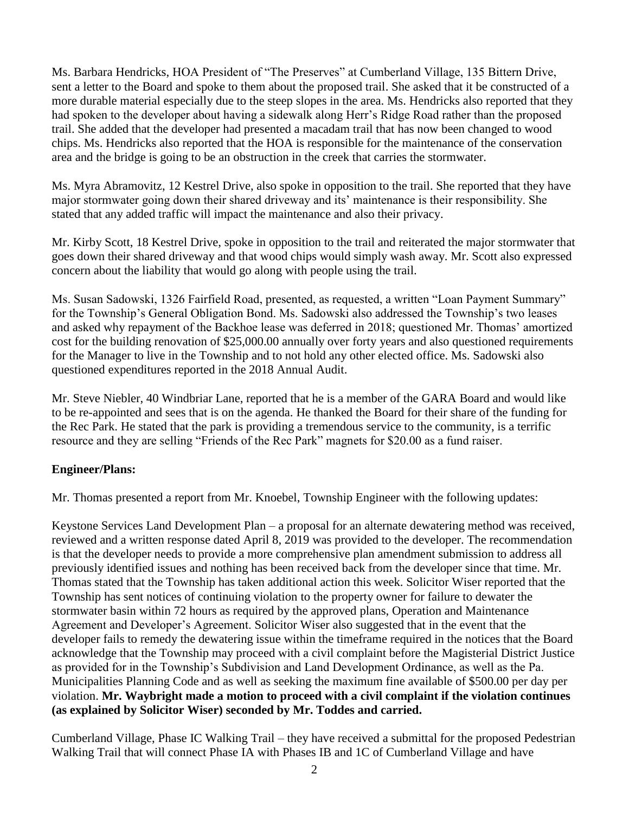Ms. Barbara Hendricks, HOA President of "The Preserves" at Cumberland Village, 135 Bittern Drive, sent a letter to the Board and spoke to them about the proposed trail. She asked that it be constructed of a more durable material especially due to the steep slopes in the area. Ms. Hendricks also reported that they had spoken to the developer about having a sidewalk along Herr's Ridge Road rather than the proposed trail. She added that the developer had presented a macadam trail that has now been changed to wood chips. Ms. Hendricks also reported that the HOA is responsible for the maintenance of the conservation area and the bridge is going to be an obstruction in the creek that carries the stormwater.

Ms. Myra Abramovitz, 12 Kestrel Drive, also spoke in opposition to the trail. She reported that they have major stormwater going down their shared driveway and its' maintenance is their responsibility. She stated that any added traffic will impact the maintenance and also their privacy.

Mr. Kirby Scott, 18 Kestrel Drive, spoke in opposition to the trail and reiterated the major stormwater that goes down their shared driveway and that wood chips would simply wash away. Mr. Scott also expressed concern about the liability that would go along with people using the trail.

Ms. Susan Sadowski, 1326 Fairfield Road, presented, as requested, a written "Loan Payment Summary" for the Township's General Obligation Bond. Ms. Sadowski also addressed the Township's two leases and asked why repayment of the Backhoe lease was deferred in 2018; questioned Mr. Thomas' amortized cost for the building renovation of \$25,000.00 annually over forty years and also questioned requirements for the Manager to live in the Township and to not hold any other elected office. Ms. Sadowski also questioned expenditures reported in the 2018 Annual Audit.

Mr. Steve Niebler, 40 Windbriar Lane, reported that he is a member of the GARA Board and would like to be re-appointed and sees that is on the agenda. He thanked the Board for their share of the funding for the Rec Park. He stated that the park is providing a tremendous service to the community, is a terrific resource and they are selling "Friends of the Rec Park" magnets for \$20.00 as a fund raiser.

# **Engineer/Plans:**

Mr. Thomas presented a report from Mr. Knoebel, Township Engineer with the following updates:

Keystone Services Land Development Plan – a proposal for an alternate dewatering method was received, reviewed and a written response dated April 8, 2019 was provided to the developer. The recommendation is that the developer needs to provide a more comprehensive plan amendment submission to address all previously identified issues and nothing has been received back from the developer since that time. Mr. Thomas stated that the Township has taken additional action this week. Solicitor Wiser reported that the Township has sent notices of continuing violation to the property owner for failure to dewater the stormwater basin within 72 hours as required by the approved plans, Operation and Maintenance Agreement and Developer's Agreement. Solicitor Wiser also suggested that in the event that the developer fails to remedy the dewatering issue within the timeframe required in the notices that the Board acknowledge that the Township may proceed with a civil complaint before the Magisterial District Justice as provided for in the Township's Subdivision and Land Development Ordinance, as well as the Pa. Municipalities Planning Code and as well as seeking the maximum fine available of \$500.00 per day per violation. **Mr. Waybright made a motion to proceed with a civil complaint if the violation continues (as explained by Solicitor Wiser) seconded by Mr. Toddes and carried.**

Cumberland Village, Phase IC Walking Trail – they have received a submittal for the proposed Pedestrian Walking Trail that will connect Phase IA with Phases IB and 1C of Cumberland Village and have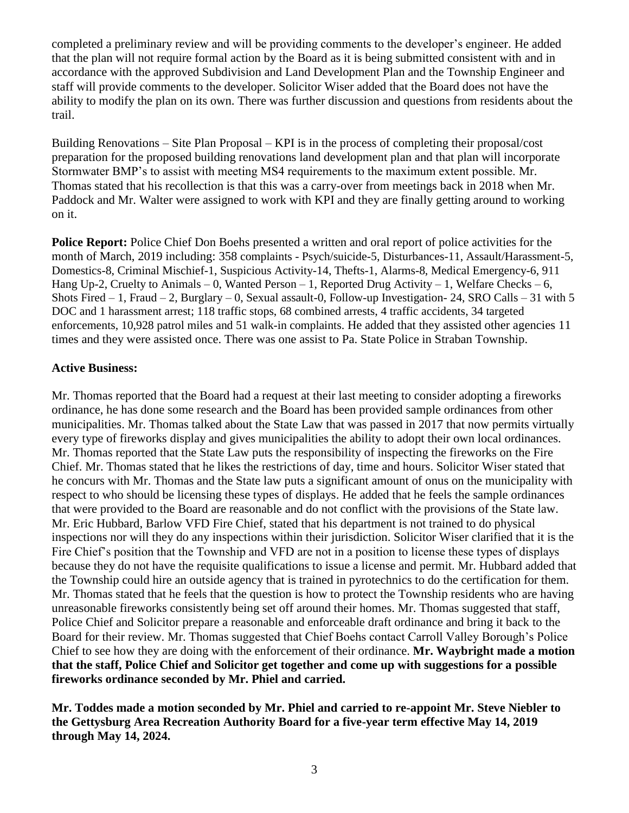completed a preliminary review and will be providing comments to the developer's engineer. He added that the plan will not require formal action by the Board as it is being submitted consistent with and in accordance with the approved Subdivision and Land Development Plan and the Township Engineer and staff will provide comments to the developer. Solicitor Wiser added that the Board does not have the ability to modify the plan on its own. There was further discussion and questions from residents about the trail.

Building Renovations – Site Plan Proposal – KPI is in the process of completing their proposal/cost preparation for the proposed building renovations land development plan and that plan will incorporate Stormwater BMP's to assist with meeting MS4 requirements to the maximum extent possible. Mr. Thomas stated that his recollection is that this was a carry-over from meetings back in 2018 when Mr. Paddock and Mr. Walter were assigned to work with KPI and they are finally getting around to working on it.

**Police Report:** Police Chief Don Boehs presented a written and oral report of police activities for the month of March, 2019 including: 358 complaints - Psych/suicide-5, Disturbances-11, Assault/Harassment-5, Domestics-8, Criminal Mischief-1, Suspicious Activity-14, Thefts-1, Alarms-8, Medical Emergency-6, 911 Hang Up-2, Cruelty to Animals – 0, Wanted Person – 1, Reported Drug Activity – 1, Welfare Checks – 6, Shots Fired  $-1$ , Fraud  $-2$ , Burglary  $-0$ , Sexual assault-0, Follow-up Investigation- 24, SRO Calls  $-31$  with 5 DOC and 1 harassment arrest; 118 traffic stops, 68 combined arrests, 4 traffic accidents, 34 targeted enforcements, 10,928 patrol miles and 51 walk-in complaints. He added that they assisted other agencies 11 times and they were assisted once. There was one assist to Pa. State Police in Straban Township.

#### **Active Business:**

Mr. Thomas reported that the Board had a request at their last meeting to consider adopting a fireworks ordinance, he has done some research and the Board has been provided sample ordinances from other municipalities. Mr. Thomas talked about the State Law that was passed in 2017 that now permits virtually every type of fireworks display and gives municipalities the ability to adopt their own local ordinances. Mr. Thomas reported that the State Law puts the responsibility of inspecting the fireworks on the Fire Chief. Mr. Thomas stated that he likes the restrictions of day, time and hours. Solicitor Wiser stated that he concurs with Mr. Thomas and the State law puts a significant amount of onus on the municipality with respect to who should be licensing these types of displays. He added that he feels the sample ordinances that were provided to the Board are reasonable and do not conflict with the provisions of the State law. Mr. Eric Hubbard, Barlow VFD Fire Chief, stated that his department is not trained to do physical inspections nor will they do any inspections within their jurisdiction. Solicitor Wiser clarified that it is the Fire Chief's position that the Township and VFD are not in a position to license these types of displays because they do not have the requisite qualifications to issue a license and permit. Mr. Hubbard added that the Township could hire an outside agency that is trained in pyrotechnics to do the certification for them. Mr. Thomas stated that he feels that the question is how to protect the Township residents who are having unreasonable fireworks consistently being set off around their homes. Mr. Thomas suggested that staff, Police Chief and Solicitor prepare a reasonable and enforceable draft ordinance and bring it back to the Board for their review. Mr. Thomas suggested that Chief Boehs contact Carroll Valley Borough's Police Chief to see how they are doing with the enforcement of their ordinance. **Mr. Waybright made a motion that the staff, Police Chief and Solicitor get together and come up with suggestions for a possible fireworks ordinance seconded by Mr. Phiel and carried.** 

**Mr. Toddes made a motion seconded by Mr. Phiel and carried to re-appoint Mr. Steve Niebler to the Gettysburg Area Recreation Authority Board for a five-year term effective May 14, 2019 through May 14, 2024.**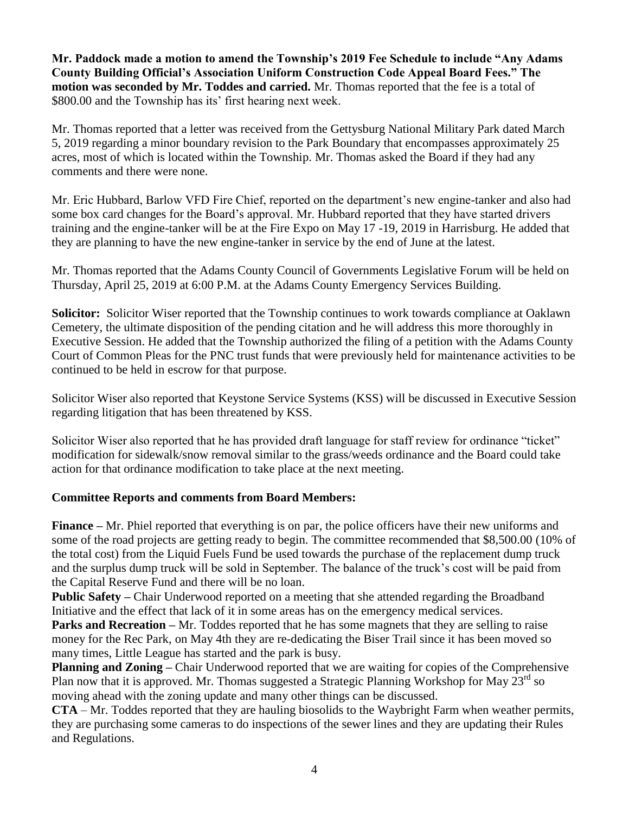**Mr. Paddock made a motion to amend the Township's 2019 Fee Schedule to include "Any Adams County Building Official's Association Uniform Construction Code Appeal Board Fees." The motion was seconded by Mr. Toddes and carried.** Mr. Thomas reported that the fee is a total of \$800.00 and the Township has its' first hearing next week.

Mr. Thomas reported that a letter was received from the Gettysburg National Military Park dated March 5, 2019 regarding a minor boundary revision to the Park Boundary that encompasses approximately 25 acres, most of which is located within the Township. Mr. Thomas asked the Board if they had any comments and there were none.

Mr. Eric Hubbard, Barlow VFD Fire Chief, reported on the department's new engine-tanker and also had some box card changes for the Board's approval. Mr. Hubbard reported that they have started drivers training and the engine-tanker will be at the Fire Expo on May 17 -19, 2019 in Harrisburg. He added that they are planning to have the new engine-tanker in service by the end of June at the latest.

Mr. Thomas reported that the Adams County Council of Governments Legislative Forum will be held on Thursday, April 25, 2019 at 6:00 P.M. at the Adams County Emergency Services Building.

**Solicitor:** Solicitor Wiser reported that the Township continues to work towards compliance at Oaklawn Cemetery, the ultimate disposition of the pending citation and he will address this more thoroughly in Executive Session. He added that the Township authorized the filing of a petition with the Adams County Court of Common Pleas for the PNC trust funds that were previously held for maintenance activities to be continued to be held in escrow for that purpose.

Solicitor Wiser also reported that Keystone Service Systems (KSS) will be discussed in Executive Session regarding litigation that has been threatened by KSS.

Solicitor Wiser also reported that he has provided draft language for staff review for ordinance "ticket" modification for sidewalk/snow removal similar to the grass/weeds ordinance and the Board could take action for that ordinance modification to take place at the next meeting.

# **Committee Reports and comments from Board Members:**

**Finance –** Mr. Phiel reported that everything is on par, the police officers have their new uniforms and some of the road projects are getting ready to begin. The committee recommended that \$8,500.00 (10% of the total cost) from the Liquid Fuels Fund be used towards the purchase of the replacement dump truck and the surplus dump truck will be sold in September. The balance of the truck's cost will be paid from the Capital Reserve Fund and there will be no loan.

**Public Safety** – Chair Underwood reported on a meeting that she attended regarding the Broadband Initiative and the effect that lack of it in some areas has on the emergency medical services.

**Parks and Recreation** – Mr. Toddes reported that he has some magnets that they are selling to raise money for the Rec Park, on May 4th they are re-dedicating the Biser Trail since it has been moved so many times, Little League has started and the park is busy.

**Planning and Zoning –** Chair Underwood reported that we are waiting for copies of the Comprehensive Plan now that it is approved. Mr. Thomas suggested a Strategic Planning Workshop for May  $23<sup>rd</sup>$  so moving ahead with the zoning update and many other things can be discussed.

**CTA** – Mr. Toddes reported that they are hauling biosolids to the Waybright Farm when weather permits, they are purchasing some cameras to do inspections of the sewer lines and they are updating their Rules and Regulations.